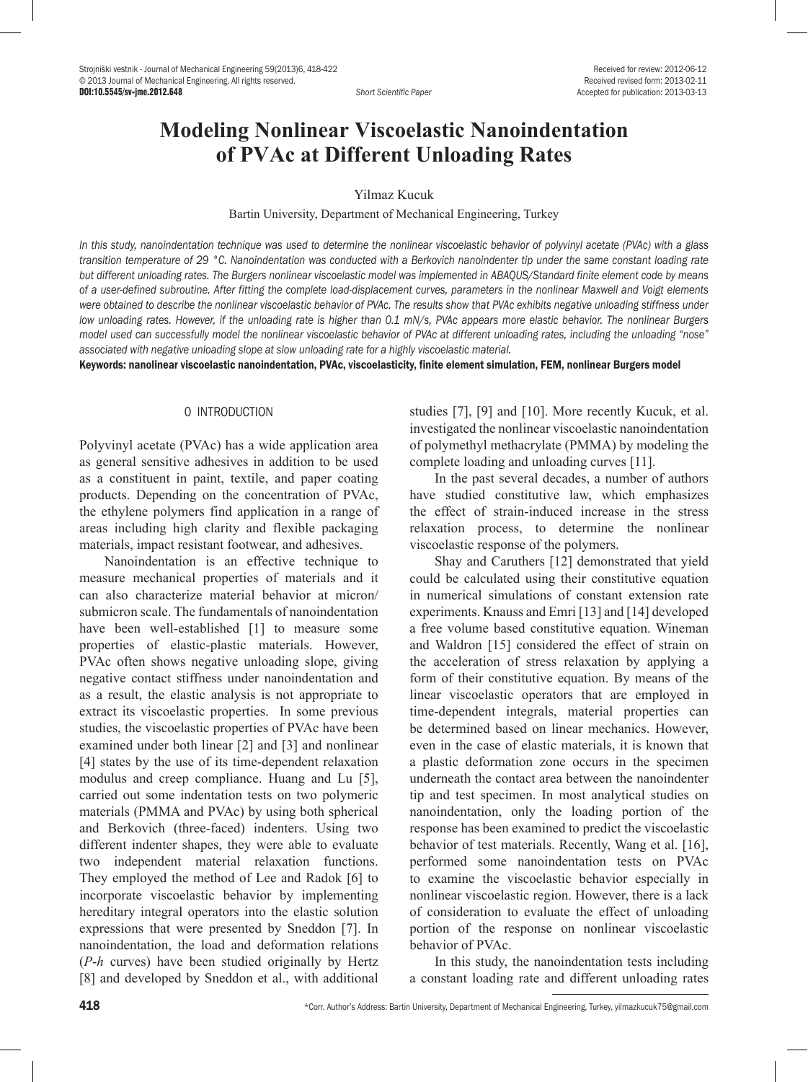# **Modeling Nonlinear Viscoelastic Nanoindentation of PVAc at Different Unloading Rates**

Yilmaz Kucuk

Bartin University, Department of Mechanical Engineering, Turkey

*In this study, nanoindentation technique was used to determine the nonlinear viscoelastic behavior of polyvinyl acetate (PVAc) with a glass transition temperature of 29 °C. Nanoindentation was conducted with a Berkovich nanoindenter tip under the same constant loading rate but different unloading rates. The Burgers nonlinear viscoelastic model was implemented in ABAQUS/Standard finite element code by means of a user-defined subroutine. After fitting the complete load-displacement curves, parameters in the nonlinear Maxwell and Voigt elements were obtained to describe the nonlinear viscoelastic behavior of PVAc. The results show that PVAc exhibits negative unloading stiffness under low unloading rates. However, if the unloading rate is higher than 0.1 mN/s, PVAc appears more elastic behavior. The nonlinear Burgers model used can successfully model the nonlinear viscoelastic behavior of PVAc at different unloading rates, including the unloading "nose" associated with negative unloading slope at slow unloading rate for a highly viscoelastic material.*

Keywords: nanolinear viscoelastic nanoindentation, PVAc, viscoelasticity, finite element simulation, FEM, nonlinear Burgers model

## 0 INTRODUCTION

Polyvinyl acetate (PVAc) has a wide application area as general sensitive adhesives in addition to be used as a constituent in paint, textile, and paper coating products. Depending on the concentration of PVAc, the ethylene polymers find application in a range of areas including high clarity and flexible packaging materials, impact resistant footwear, and adhesives.

Nanoindentation is an effective technique to measure mechanical properties of materials and it can also characterize material behavior at micron/ submicron scale. The fundamentals of nanoindentation have been well-established [1] to measure some properties of elastic-plastic materials. However, PVAc often shows negative unloading slope, giving negative contact stiffness under nanoindentation and as a result, the elastic analysis is not appropriate to extract its viscoelastic properties. In some previous studies, the viscoelastic properties of PVAc have been examined under both linear [2] and [3] and nonlinear [4] states by the use of its time-dependent relaxation modulus and creep compliance. Huang and Lu [5], carried out some indentation tests on two polymeric materials (PMMA and PVAc) by using both spherical and Berkovich (three-faced) indenters. Using two different indenter shapes, they were able to evaluate two independent material relaxation functions. They employed the method of Lee and Radok [6] to incorporate viscoelastic behavior by implementing hereditary integral operators into the elastic solution expressions that were presented by Sneddon [7]. In nanoindentation, the load and deformation relations (*P*-*h* curves) have been studied originally by Hertz [8] and developed by Sneddon et al., with additional studies [7], [9] and [10]. More recently Kucuk, et al. investigated the nonlinear viscoelastic nanoindentation of polymethyl methacrylate (PMMA) by modeling the complete loading and unloading curves [11].

In the past several decades, a number of authors have studied [constitutive law,](http://encyclopedia.thefreedictionary.com/Constitutive+equation) which emphasizes the effect of strain-induced increase in the stress relaxation process, to determine the [nonlinear](http://encyclopedia2.thefreedictionary.com/nonlinear)  viscoelastic response of the polymers.

Shay and Caruthers [12] demonstrated that yield could be calculated using their constitutive equation in numerical simulations of constant extension rate experiments. Knauss and Emri [13] and [14] developed a free volume based constitutive equation. Wineman and Waldron [15] considered the effect of strain on the acceleration of stress relaxation by applying a form of their constitutive equation. By means of the linear viscoelastic operators that are employed in time-dependent integrals, material properties can be determined based on linear mechanics. However, even in the case of elastic materials, it is known that a plastic deformation zone occurs in the specimen underneath the contact area between the nanoindenter tip and test specimen. In most analytical studies on nanoindentation, only the loading portion of the response has been examined to predict the viscoelastic behavior of test materials. Recently, Wang et al. [16], performed some nanoindentation tests on PVAc to examine the viscoelastic behavior especially in nonlinear viscoelastic region. However, there is a lack of consideration to evaluate the effect of unloading portion of the response on nonlinear viscoelastic behavior of PVAc.

In this study, the nanoindentation tests including a constant loading rate and different unloading rates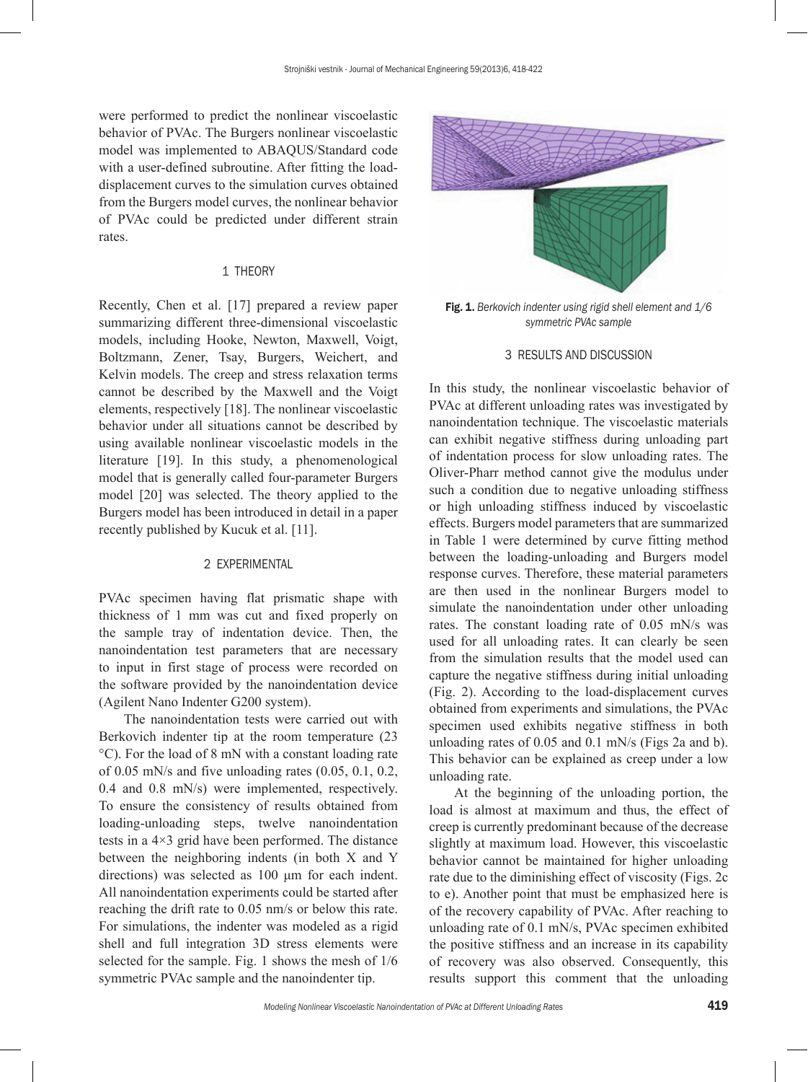were performed to predict the nonlinear viscoelastic behavior of PVAc. The Burgers nonlinear viscoelastic model was implemented to ABAQUS/Standard code with a user-defined subroutine. After fitting the loaddisplacement curves to the simulation curves obtained from the Burgers model curves, the nonlinear behavior of PVAc could be predicted under different strain rates.

# 1 THEORY

Recently, Chen et al. [17] prepared a review paper summarizing different three-dimensional viscoelastic models, including Hooke, Newton, Maxwell, Voigt, Boltzmann, Zener, Tsay, Burgers, Weichert, and Kelvin models. The creep and stress relaxation terms cannot be described by the Maxwell and the Voigt elements, respectively [18]. The nonlinear viscoelastic behavior under all situations cannot be described by using available nonlinear viscoelastic models in the literature [19]. In this study, a phenomenological model that is generally called four-parameter Burgers model [20] was selected. The theory applied to the Burgers model has been introduced in detail in a paper recently published by Kucuk et al. [11].

# 2 EXPERIMENTAL

PVAc specimen having flat prismatic shape with thickness of 1 mm was cut and fixed properly on the sample tray of indentation device. Then, the nanoindentation test parameters that are necessary to input in first stage of process were recorded on the software provided by the nanoindentation device (Agilent Nano Indenter G200 system).

The nanoindentation tests were carried out with Berkovich indenter tip at the room temperature (23 °C). For the load of 8 mN with a constant loading rate of 0.05 mN/s and five unloading rates (0.05, 0.1, 0.2, 0.4 and 0.8 mN/s) were implemented, respectively. To ensure the consistency of results obtained from loading-unloading steps, twelve nanoindentation tests in a 4×3 grid have been performed. The distance between the neighboring indents (in both X and Y directions) was selected as 100 μm for each indent. All nanoindentation experiments could be started after reaching the drift rate to 0.05 nm/s or below this rate. For simulations, the indenter was modeled as a rigid shell and full integration 3D stress elements were selected for the sample. Fig. 1 shows the mesh of 1/6 symmetric PVAc sample and the nanoindenter tip.



Fig. 1. *Berkovich indenter using rigid shell element and 1/6 symmetric PVAc sample*

#### 3 RESULTS AND DISCUSSION

In this study, the nonlinear viscoelastic behavior of PVAc at different unloading rates was investigated by nanoindentation technique. The viscoelastic materials can exhibit negative stiffness during unloading part of indentation process for slow unloading rates. The Oliver-Pharr method cannot give the modulus under such a condition due to negative unloading stiffness or high unloading stiffness induced by viscoelastic effects. Burgers model parameters that are summarized in Table 1 were determined by curve fitting method between the loading-unloading and Burgers model response curves. Therefore, these material parameters are then used in the nonlinear Burgers model to simulate the nanoindentation under other unloading rates. The constant loading rate of 0.05 mN/s was used for all unloading rates. It can clearly be seen from the simulation results that the model used can capture the negative stiffness during initial unloading ([Fig. 2\)](http://mc.manuscriptcentral.com:80/LongRequest/jpolb?TAG_ACTION=DOWNLOAD_FILE_BY_NAME&DOCUMENT_ID=11609493&FILE_TO_DOWNLOAD=11609493_File000004_216881114.jpg.htm&FILE_KEY=2047612996&FILE_NAME_KEY=-1875702278&DOWNLOAD=TRUE&FILE_TYPE=DOCUMENT&DOCUMENT_HASHCODE=&SANITY_CHECK_DOCUMENT_ID=). According to the load-displacement curves obtained from experiments and simulations, the PVAc specimen used exhibits negative stiffness in both unloading rates of 0.05 and 0.1 mN/s (Figs 2a and b). This behavior can be explained as creep under a low unloading rate.

At the beginning of the unloading portion, the load is almost at maximum and thus, the effect of creep is currently predominant because of the decrease slightly at maximum load. However, this viscoelastic behavior cannot be maintained for higher unloading rate due to the diminishing effect of viscosity (Figs. 2c to e). Another point that must be emphasized here is of the recovery capability of PVAc. After reaching to unloading rate of 0.1 mN/s, PVAc specimen exhibited the positive stiffness and an increase in its capability of recovery was also observed. Consequently, this results support this comment that the unloading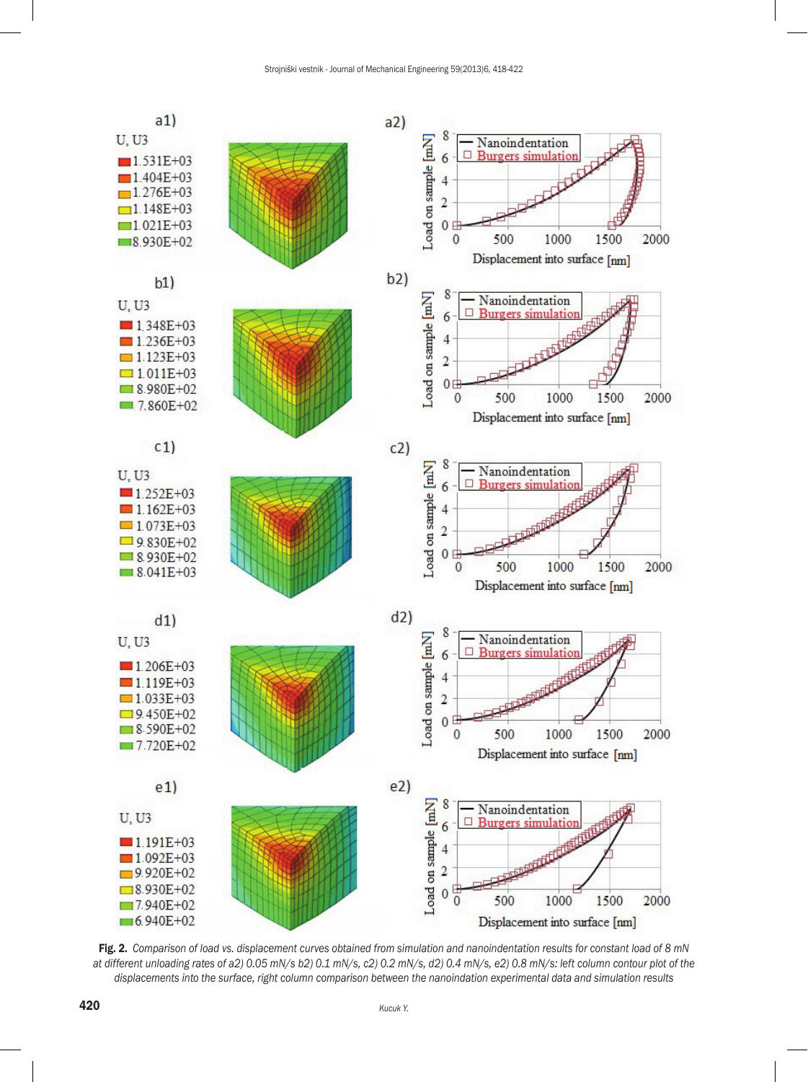

Fig. 2. *Comparison of load vs. displacement curves obtained from simulation and nanoindentation results for constant load of 8 mN at different unloading rates of a2) 0.05 mN/s b2) 0.1 mN/s, c2) 0.2 mN/s, d2) 0.4 mN/s, e2) 0.8 mN/s: left column contour plot of the displacements into the surface, right column comparison between the nanoindation experimental data and simulation results*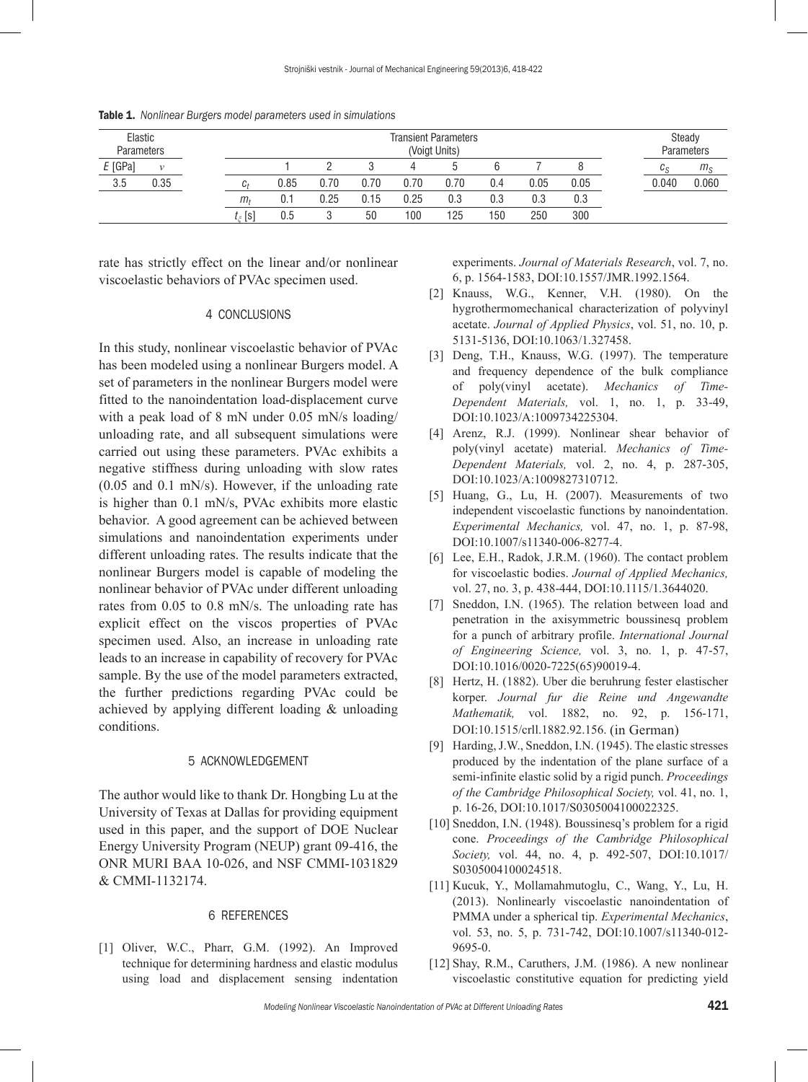| Elastic<br><b>Parameters</b> |               | <b>Transient Parameters</b><br>(Voigt Units) |      |      |      |      |      |     |      |      |  | Steady<br>Parameters |             |
|------------------------------|---------------|----------------------------------------------|------|------|------|------|------|-----|------|------|--|----------------------|-------------|
| $E$ [GPa]                    | $\mathcal{V}$ |                                              |      |      |      |      |      |     |      |      |  | <b>Uc</b>            | $m_{\rm S}$ |
| 3.5                          | 0.35          | L۰                                           | 0.85 | J.70 | 0.70 | 0.70 | 0.70 | 0.4 | 0.05 | 0.05 |  | 0.040                | 0.060       |
|                              |               | m <sub>i</sub>                               | 0.1  | 0.25 | 0.15 | 0.25 | 0.3  | 0.3 | 0.3  | 0.3  |  |                      |             |
|                              |               | $t_{\ast}$ [s]                               | 0.5  |      | 50   | 100  | 125  | 150 | 250  | 300  |  |                      |             |

Table 1. *Nonlinear Burgers model parameters used in simulations*

rate has strictly effect on the linear and/or nonlinear viscoelastic behaviors of PVAc specimen used.

#### 4 CONCLUSIONS

In this study, nonlinear viscoelastic behavior of PVAc has been modeled using a nonlinear Burgers model. A set of parameters in the nonlinear Burgers model were fitted to the nanoindentation load-displacement curve with a peak load of 8 mN under 0.05 mN/s loading/ unloading rate, and all subsequent simulations were carried out using these parameters. PVAc exhibits a negative stiffness during unloading with slow rates (0.05 and 0.1 mN/s). However, if the unloading rate is higher than 0.1 mN/s, PVAc exhibits more elastic behavior. A good agreement can be achieved between simulations and nanoindentation experiments under different unloading rates. The results indicate that the nonlinear Burgers model is capable of modeling the nonlinear behavior of PVAc under different unloading rates from 0.05 to 0.8 mN/s. The unloading rate has explicit effect on the viscos properties of PVAc specimen used. Also, an increase in unloading rate leads to an increase in capability of recovery for PVAc sample. By the use of the model parameters extracted, the further predictions regarding PVAc could be achieved by applying different loading & unloading conditions.

### 5 ACKNOWLEDGEMENT

The author would like to thank Dr. Hongbing Lu at the University of Texas at Dallas for providing equipment used in this paper, and the support of DOE Nuclear Energy University Program (NEUP) grant 09-416, the ONR MURI BAA 10-026, and NSF CMMI-1031829 & CMMI-1132174.

#### 6 REFERENCES

[1] Oliver, W.C., Pharr, G.M. (1992). An Improved technique for determining hardness and elastic modulus using load and displacement sensing indentation experiments. *Journal of Materials Research*, vol. 7, no. 6, p. 1564-1583, [DOI:10.1557/JMR.1992.1564.](http://dx.doi.org/10.1557/JMR.1992.1564)

- [2] Knauss, W.G., Kenner, V.H. (1980). On the hygrothermomechanical characterization of polyvinyl acetate. *Journal of Applied Physics*, vol. 51, no. 10, p. 5131-5136, [DOI:10.1063/1.327458.](http://dx.doi.org/10.1063/1.327458)
- [3] Deng, T.H., Knauss, W.G. (1997). The temperature and frequency dependence of the bulk compliance of poly(vinyl acetate). *Mechanics of Time-Dependent Materials,* vol. 1, no. 1, p. 33-49, [DOI:10.1023/A:1009734225304.](http://dx.doi.org/10.1023/A:1009734225304)
- [4] Arenz, R.J. (1999). Nonlinear shear behavior of poly(vinyl acetate) material. *Mechanics of Time-Dependent Materials,* vol. 2, no. 4, p. 287-305, [DOI:10.1023/A:1009827310712.](http://dx.doi.org/10.1023/A:1009827310712)
- [5] Huang, G., Lu, H. (2007). Measurements of two independent viscoelastic functions by nanoindentation. *Experimental Mechanics,* vol. 47, no. 1, p. 87-98, [DOI:10.1007/s11340-006-8277-4.](http://dx.doi.org/10.1007/s11340-006-8277-4)
- [6] Lee, E.H., Radok, J.R.M. (1960). The contact problem for viscoelastic bodies. *Journal of Applied Mechanics,* vol. 27, no. 3, p. 438-444, [DOI:10.1115/1.3644020.](http://dx.doi.org/10.1115/1.3644020)
- [7] Sneddon, I.N. (1965). The relation between load and penetration in the axisymmetric boussinesq problem for a punch of arbitrary profile. *International Journal of Engineering Science,* vol. 3, no. 1, p. 47-57, [DOI:10.1016/0020-7225\(65\)90019-4](http://dx.doi.org/10.1016/0020-7225(65)90019-4).
- [8] Hertz, H. (1882). Uber die beruhrung fester elastischer korper. *Journal fur die Reine und Angewandte Mathematik,* vol. 1882, no. 92, p. 156-171, [DOI:10.1515/crll.1882.92.156.](http://dx.doi.org/10.1515/crll.1882.92.156) (in German)
- [9] Harding, J.W., Sneddon, I.N. (1945). The elastic stresses produced by the indentation of the plane surface of a semi-infinite elastic solid by a rigid punch. *Proceedings of the Cambridge Philosophical Society,* vol. 41, no. 1, p. 16-26, [DOI:10.1017/S0305004100022325.](http://dx.doi.org/10.1017/S0305004100022325)
- [10] Sneddon, I.N. (1948). Boussinesq's problem for a rigid cone. *Proceedings of the Cambridge Philosophical Society,* vol. 44, no. 4, p. 492-507, [DOI:10.1017/](http://dx.doi.org/10.1017/S0305004100024518) [S0305004100024518.](http://dx.doi.org/10.1017/S0305004100024518)
- [11] Kucuk, Y., Mollamahmutoglu, C., Wang, Y., Lu, H. (2013). Nonlinearly viscoelastic nanoindentation of PMMA under a spherical tip. *Experimental Mechanics*, vol. 53, no. 5, p. 731-742, [DOI:10.1007/s11340-012-](http://dx.doi.org/10.1007/s11340-012-9695-0) [9695-0.](http://dx.doi.org/10.1007/s11340-012-9695-0)
- [12] Shay, R.M., Caruthers, J.M. (1986). A new nonlinear viscoelastic constitutive equation for predicting yield